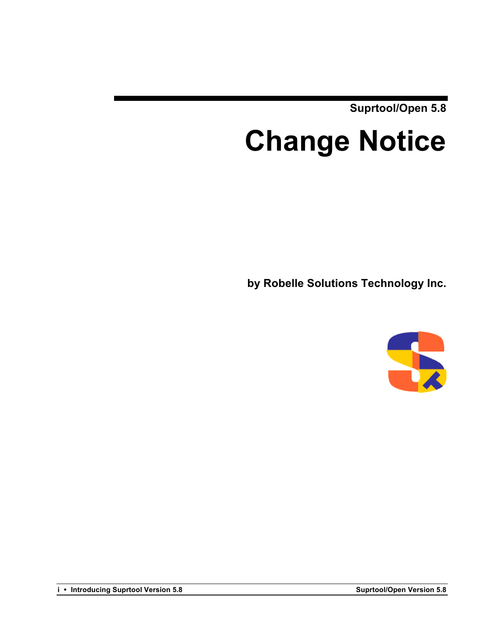**Suprtool/Open 5.8**

# **Change Notice**

**by Robelle Solutions Technology Inc.**



**i** • **Introducing Suprtool Version 5.8 Suprtool/Open Version 5.8**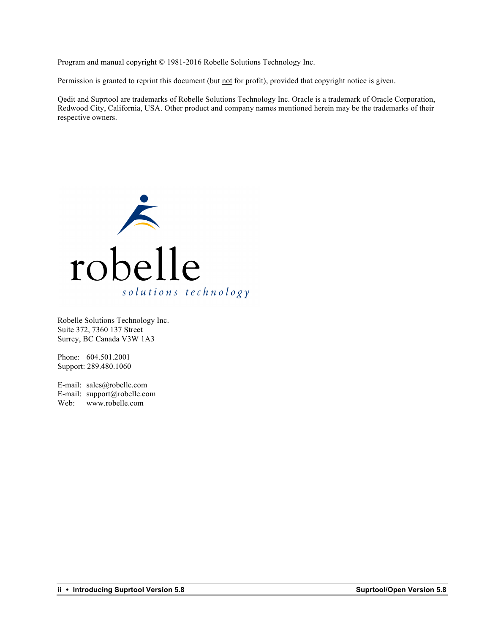Program and manual copyright © 1981-2016 Robelle Solutions Technology Inc.

Permission is granted to reprint this document (but not for profit), provided that copyright notice is given.

Qedit and Suprtool are trademarks of Robelle Solutions Technology Inc. Oracle is a trademark of Oracle Corporation, Redwood City, California, USA. Other product and company names mentioned herein may be the trademarks of their respective owners.



Robelle Solutions Technology Inc. Suite 372, 7360 137 Street Surrey, BC Canada V3W 1A3

Phone: 604.501.2001 Support: 289.480.1060

E-mail: sales@robelle.com E-mail: support@robelle.com Web: www.robelle.com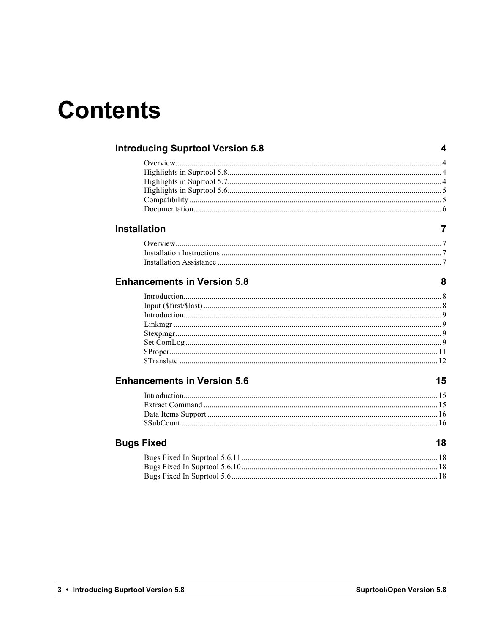# **Contents**

| <b>Introducing Suprtool Version 5.8</b> |    |
|-----------------------------------------|----|
|                                         |    |
|                                         |    |
|                                         |    |
|                                         |    |
|                                         |    |
|                                         |    |
| <b>Installation</b>                     | 7  |
|                                         |    |
|                                         |    |
|                                         |    |
| <b>Enhancements in Version 5.8</b>      | 8  |
|                                         |    |
|                                         |    |
|                                         |    |
|                                         |    |
|                                         |    |
|                                         |    |
|                                         |    |
|                                         |    |
|                                         |    |
| <b>Enhancements in Version 5.6</b>      | 15 |
|                                         |    |
|                                         |    |
|                                         |    |
|                                         |    |
| <b>Bugs Fixed</b>                       | 18 |
|                                         |    |
|                                         |    |
|                                         |    |
|                                         |    |
|                                         |    |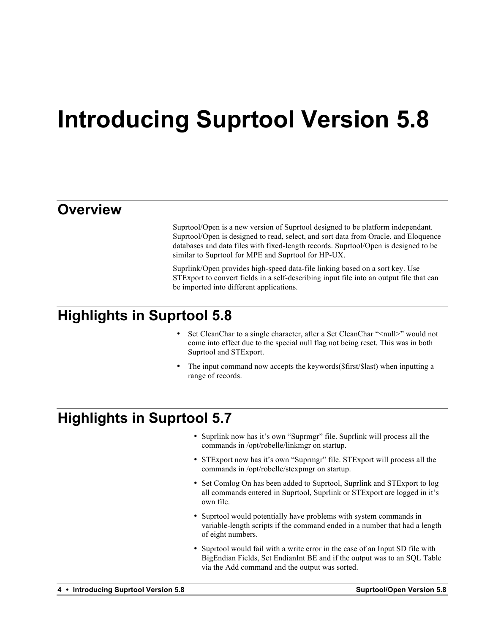# **Introducing Suprtool Version 5.8**

#### **Overview**

Suprtool/Open is a new version of Suprtool designed to be platform independant. Suprtool/Open is designed to read, select, and sort data from Oracle, and Eloquence databases and data files with fixed-length records. Suprtool/Open is designed to be similar to Suprtool for MPE and Suprtool for HP-UX.

Suprlink/Open provides high-speed data-file linking based on a sort key. Use STExport to convert fields in a self-describing input file into an output file that can be imported into different applications.

#### **Highlights in Suprtool 5.8**

- Set CleanChar to a single character, after a Set CleanChar "<null>" would not come into effect due to the special null flag not being reset. This was in both Suprtool and STExport.
- The input command now accepts the keywords ( $\frac{1}{10}$  and  $\frac{1}{10}$  and  $\frac{1}{10}$  and  $\frac{1}{10}$  and  $\frac{1}{10}$  and  $\frac{1}{10}$  and  $\frac{1}{10}$  and  $\frac{1}{10}$  and  $\frac{1}{10}$  and  $\frac{1}{10}$  and  $\frac{1}{10}$  and  $\frac{1}{10}$  an range of records.

### **Highlights in Suprtool 5.7**

- Suprlink now has it's own "Suprmgr" file. Suprlink will process all the commands in /opt/robelle/linkmgr on startup.
- STExport now has it's own "Suprmgr" file. STExport will process all the commands in /opt/robelle/stexpmgr on startup.
- Set Comlog On has been added to Suprtool, Suprlink and STExport to log all commands entered in Suprtool, Suprlink or STExport are logged in it's own file.
- Suprtool would potentially have problems with system commands in variable-length scripts if the command ended in a number that had a length of eight numbers.
- Suprtool would fail with a write error in the case of an Input SD file with BigEndian Fields, Set EndianInt BE and if the output was to an SQL Table via the Add command and the output was sorted.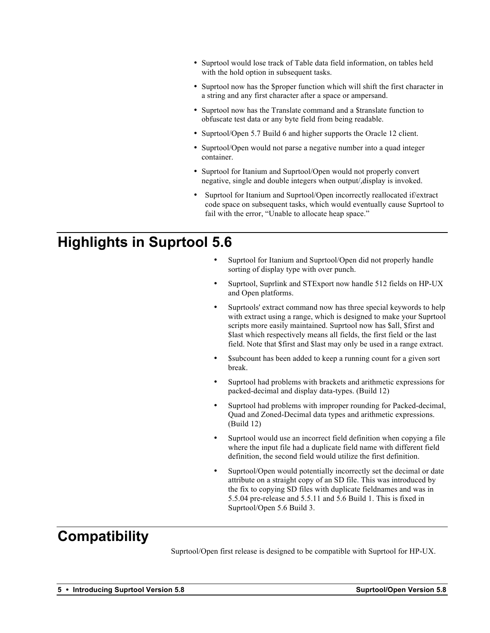- Suprtool would lose track of Table data field information, on tables held with the hold option in subsequent tasks.
- Suprtool now has the \$proper function which will shift the first character in a string and any first character after a space or ampersand.
- Suprtool now has the Translate command and a \$translate function to obfuscate test data or any byte field from being readable.
- Suprtool/Open 5.7 Build 6 and higher supports the Oracle 12 client.
- Suprtool/Open would not parse a negative number into a quad integer container.
- Suprtool for Itanium and Suprtool/Open would not properly convert negative, single and double integers when output/,display is invoked.
- Suprtool for Itanium and Suprtool/Open incorrectly reallocated if/extract code space on subsequent tasks, which would eventually cause Suprtool to fail with the error, "Unable to allocate heap space."

## **Highlights in Suprtool 5.6**

- Suprtool for Itanium and Suprtool/Open did not properly handle sorting of display type with over punch.
- Suprtool, Suprlink and STExport now handle 512 fields on HP-UX and Open platforms.
- Suprtools' extract command now has three special keywords to help with extract using a range, which is designed to make your Suprtool scripts more easily maintained. Suprtool now has \$all, \$first and \$last which respectively means all fields, the first field or the last field. Note that \$first and \$last may only be used in a range extract.
- Ssubcount has been added to keep a running count for a given sort break.
- Suprtool had problems with brackets and arithmetic expressions for packed-decimal and display data-types. (Build 12)
- Suprtool had problems with improper rounding for Packed-decimal, Quad and Zoned-Decimal data types and arithmetic expressions. (Build 12)
- Suprtool would use an incorrect field definition when copying a file where the input file had a duplicate field name with different field definition, the second field would utilize the first definition.
- Suprtool/Open would potentially incorrectly set the decimal or date attribute on a straight copy of an SD file. This was introduced by the fix to copying SD files with duplicate fieldnames and was in 5.5.04 pre-release and 5.5.11 and 5.6 Build 1. This is fixed in Suprtool/Open 5.6 Build 3.

# **Compatibility**

Suprtool/Open first release is designed to be compatible with Suprtool for HP-UX.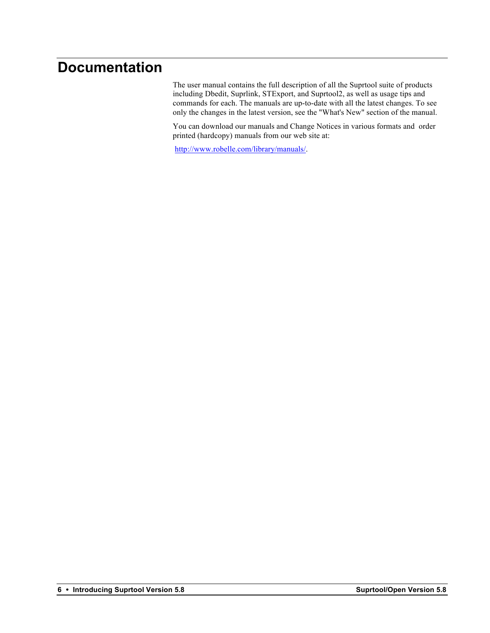### **Documentation**

The user manual contains the full description of all the Suprtool suite of products including Dbedit, Suprlink, STExport, and Suprtool2, as well as usage tips and commands for each. The manuals are up-to-date with all the latest changes. To see only the changes in the latest version, see the "What's New" section of the manual.

You can download our manuals and Change Notices in various formats and order printed (hardcopy) manuals from our web site at:

http://www.robelle.com/library/manuals/.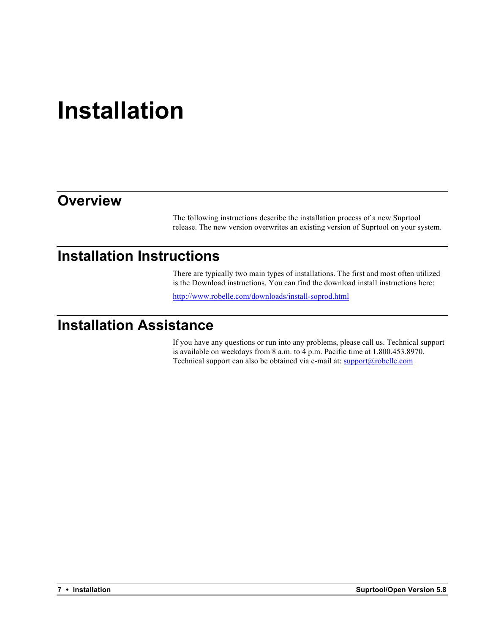# **Installation**

#### **Overview**

The following instructions describe the installation process of a new Suprtool release. The new version overwrites an existing version of Suprtool on your system.

#### **Installation Instructions**

There are typically two main types of installations. The first and most often utilized is the Download instructions. You can find the download install instructions here:

http://www.robelle.com/downloads/install-soprod.html

# **Installation Assistance**

If you have any questions or run into any problems, please call us. Technical support is available on weekdays from 8 a.m. to 4 p.m. Pacific time at 1.800.453.8970. Technical support can also be obtained via e-mail at: support@robelle.com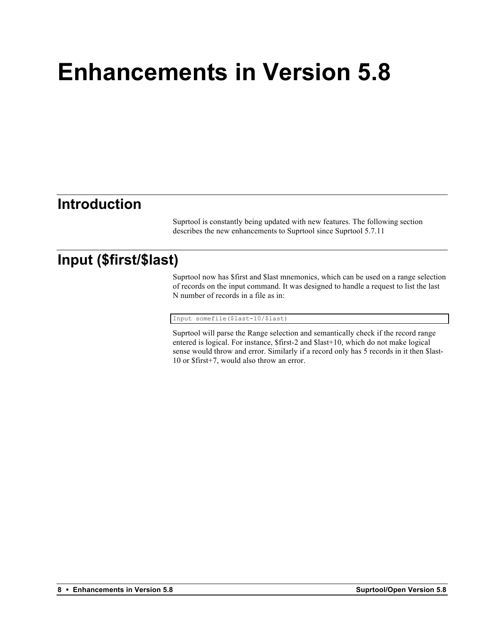# **Enhancements in Version 5.8**

### **Introduction**

Suprtool is constantly being updated with new features. The following section describes the new enhancements to Suprtool since Suprtool 5.7.11

## **Input (\$first/\$last)**

Suprtool now has \$first and \$last mnemonics, which can be used on a range selection of records on the input command. It was designed to handle a request to list the last N number of records in a file as in:

Input somefile(\$last-10/\$last)

Suprtool will parse the Range selection and semantically check if the record range entered is logical. For instance, \$first-2 and \$last+10, which do not make logical sense would throw and error. Similarly if a record only has 5 records in it then \$last-10 or \$first+7, would also throw an error.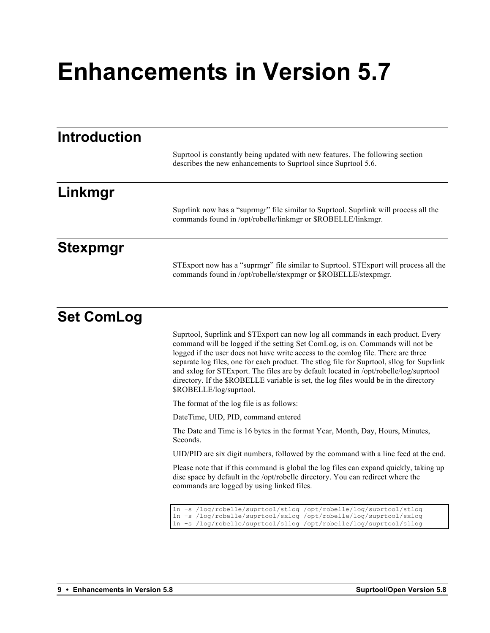# **Enhancements in Version 5.7**

| <b>Introduction</b> |                                                                                                                                                                                                                                                                                                                                                                                                                                                                                                                                                                |
|---------------------|----------------------------------------------------------------------------------------------------------------------------------------------------------------------------------------------------------------------------------------------------------------------------------------------------------------------------------------------------------------------------------------------------------------------------------------------------------------------------------------------------------------------------------------------------------------|
|                     | Suprtool is constantly being updated with new features. The following section<br>describes the new enhancements to Suprtool since Suprtool 5.6.                                                                                                                                                                                                                                                                                                                                                                                                                |
| Linkmgr             |                                                                                                                                                                                                                                                                                                                                                                                                                                                                                                                                                                |
|                     | Suprlink now has a "suprmgr" file similar to Suprtool. Suprlink will process all the<br>commands found in /opt/robelle/linkmgr or \$ROBELLE/linkmgr.                                                                                                                                                                                                                                                                                                                                                                                                           |
| <b>Stexpmgr</b>     |                                                                                                                                                                                                                                                                                                                                                                                                                                                                                                                                                                |
|                     | STExport now has a "suprmgr" file similar to Suprtool. STExport will process all the<br>commands found in /opt/robelle/stexpmgr or \$ROBELLE/stexpmgr.                                                                                                                                                                                                                                                                                                                                                                                                         |
| <b>Set ComLog</b>   |                                                                                                                                                                                                                                                                                                                                                                                                                                                                                                                                                                |
|                     | Suprtool, Suprlink and STExport can now log all commands in each product. Every<br>command will be logged if the setting Set ComLog, is on. Commands will not be<br>logged if the user does not have write access to the comlog file. There are three<br>separate log files, one for each product. The stlog file for Suprtool, sllog for Suprlink<br>and sxlog for STExport. The files are by default located in /opt/robelle/log/suprtool<br>directory. If the \$ROBELLE variable is set, the log files would be in the directory<br>\$ROBELLE/log/suprtool. |
|                     | The format of the log file is as follows:                                                                                                                                                                                                                                                                                                                                                                                                                                                                                                                      |
|                     | DateTime, UID, PID, command entered                                                                                                                                                                                                                                                                                                                                                                                                                                                                                                                            |
|                     | The Date and Time is 16 bytes in the format Year, Month, Day, Hours, Minutes,<br>Seconds.                                                                                                                                                                                                                                                                                                                                                                                                                                                                      |
|                     | UID/PID are six digit numbers, followed by the command with a line feed at the end.                                                                                                                                                                                                                                                                                                                                                                                                                                                                            |
|                     | Please note that if this command is global the log files can expand quickly, taking up<br>disc space by default in the /opt/robelle directory. You can redirect where the<br>commands are logged by using linked files.                                                                                                                                                                                                                                                                                                                                        |
|                     | ln -s /log/robelle/suprtool/stlog /opt/robelle/log/suprtool/stlog<br>ln -s /log/robelle/suprtool/sxlog /opt/robelle/log/suprtool/sxlog<br>ln -s /loq/robelle/suprtool/slloq /opt/robelle/loq/suprtool/slloq                                                                                                                                                                                                                                                                                                                                                    |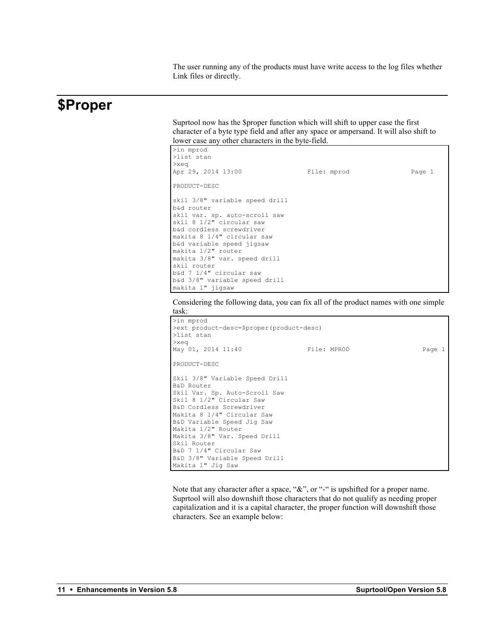The user running any of the products must have write access to the log files whether Link files or directly.

#### **\$Proper**

Suprtool now has the \$proper function which will shift to upper case the first character of a byte type field and after any space or ampersand. It will also shift to lower case any other characters in the byte-field.

| >in mprod                      |             |        |
|--------------------------------|-------------|--------|
| >list stan                     |             |        |
| $>$ xeq                        |             |        |
| Apr 29, 2014 13:00             | File: mprod | Page 1 |
| PRODUCT-DESC                   |             |        |
| skil 3/8" variable speed drill |             |        |
| b&d router                     |             |        |
| skil var. sp. auto-scroll saw  |             |        |
| skil 8 1/2" circular saw       |             |        |
| b&d cordless screwdriver       |             |        |
| makita 8 1/4" circular saw     |             |        |
| b&d variable speed jigsaw      |             |        |
| makita 1/2" router             |             |        |
| makita 3/8" var. speed drill   |             |        |
| skil router                    |             |        |
| b&d 7 1/4" circular saw        |             |        |
| b&d 3/8" variable speed drill  |             |        |
| makita 1" jigsaw               |             |        |

Considering the following data, you can fix all of the product names with one simple task:



Note that any character after a space, "&", or "-" is upshifted for a proper name. Suprtool will also downshift those characters that do not qualify as needing proper capitalization and it is a capital character, the proper function will downshift those characters. See an example below: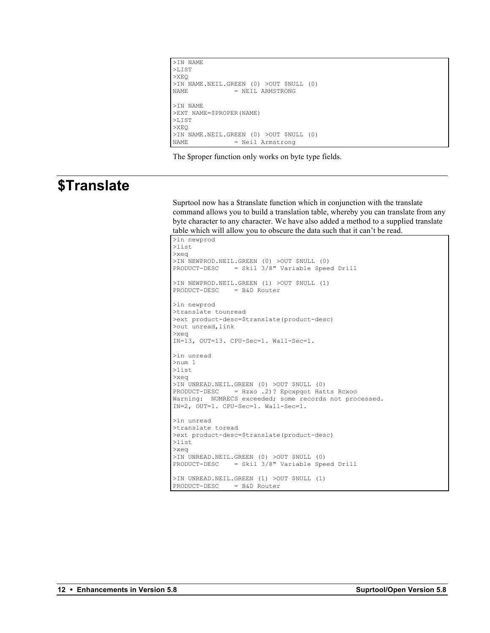```
>IN NAME
>LIST
>XEQ
>IN NAME.NEIL.GREEN (0) >OUT $NULL (0)<br>NAME = NEIL ARMSTRONG
                 = NEIL ARMSTRONG
>IN NAME
>EXT NAME=$PROPER(NAME)
>LIST
>XEQ
>IN NAME.NEIL.GREEN (0) >OUT $NULL (0)<br>NAME = Neil Armstrong
                   = Neil Armstrong
```
The \$proper function only works on byte type fields.

#### **\$Translate**

Suprtool now has a \$translate function which in conjunction with the translate command allows you to build a translation table, whereby you can translate from any byte character to any character. We have also added a method to a supplied translate table which will allow you to obscure the data such that it can't be read.

```
>in newprod
>list
>xeq
>IN NEWPROD.NEIL.GREEN (0) >OUT $NULL (0)
PRODUCT-DESC = Skil 3/8" Variable Speed Drill
>IN NEWPROD.NEIL.GREEN (1) >OUT $NULL (1)
PRODUCT-DESC = B&D Router
>in newprod
>translate tounread
>ext product-desc=$translate(product-desc)
>out unread,link
>xeq
IN=13, OUT=13. CPU-Sec=1. Wall-Sec=1.
>in unread
>num 1
>list
>xeq
>IN UNREAD.NEIL.GREEN (0) >OUT $NULL (0)
PRODUCT-DESC = Hzxo .2)? Epcxpqot Hatts Rcxoo
Warning: NUMRECS exceeded; some records not processed.
IN=2, OUT=1. CPU-Sec=1. Wall-Sec=1.
>in unread
>translate toread
>ext product-desc=$translate(product-desc)
>list
>xeq
>IN UNREAD.NEIL.GREEN (0) >OUT $NULL (0)
PRODUCT-DESC = Skil 3/8" Variable Speed Drill
>IN UNREAD.NEIL.GREEN (1) >OUT $NULL (1)
PRODUCT-DESC = B&D Router
```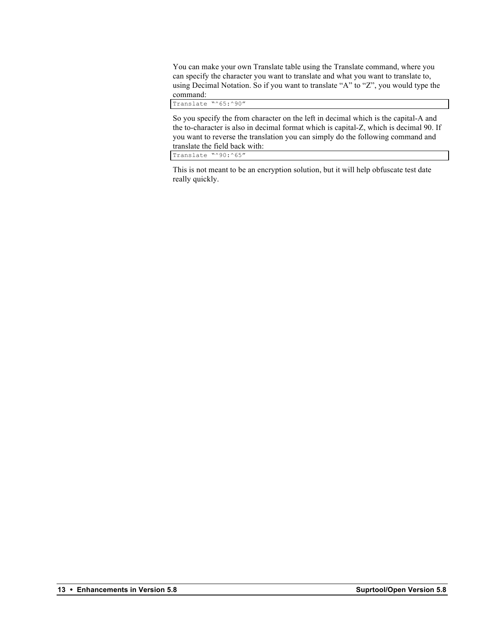You can make your own Translate table using the Translate command, where you can specify the character you want to translate and what you want to translate to, using Decimal Notation. So if you want to translate "A" to "Z", you would type the command:

Translate "^65:^90"

So you specify the from character on the left in decimal which is the capital-A and the to-character is also in decimal format which is capital-Z, which is decimal 90. If you want to reverse the translation you can simply do the following command and translate the field back with:

Translate "^90:^65"

This is not meant to be an encryption solution, but it will help obfuscate test date really quickly.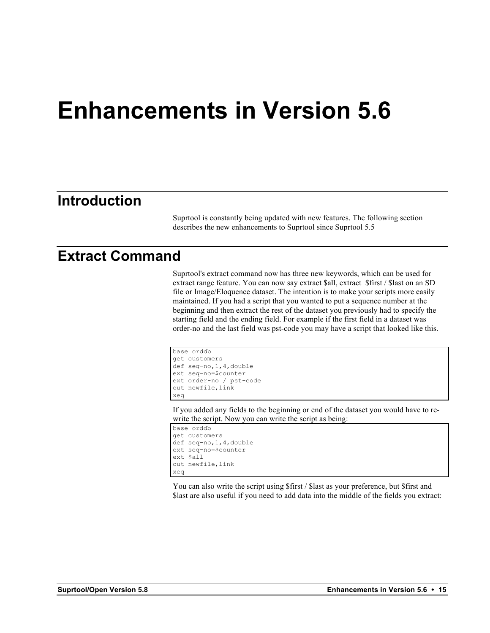# **Enhancements in Version 5.6**

#### **Introduction**

Suprtool is constantly being updated with new features. The following section describes the new enhancements to Suprtool since Suprtool 5.5

#### **Extract Command**

Suprtool's extract command now has three new keywords, which can be used for extract range feature. You can now say extract \$all, extract \$first / \$last on an SD file or Image/Eloquence dataset. The intention is to make your scripts more easily maintained. If you had a script that you wanted to put a sequence number at the beginning and then extract the rest of the dataset you previously had to specify the starting field and the ending field. For example if the first field in a dataset was order-no and the last field was pst-code you may have a script that looked like this.

```
base orddb
get customers
def seq-no,1,4,double
ext seq-no=$counter
ext order-no / pst-code
out newfile,link
xeq
```
If you added any fields to the beginning or end of the dataset you would have to rewrite the script. Now you can write the script as being:

```
base orddb
get customers
def seq-no,1,4,double
ext seq-no=$counter
ext $all
out newfile,link
xeq
```
You can also write the script using \$first / \$last as your preference, but \$first and \$last are also useful if you need to add data into the middle of the fields you extract: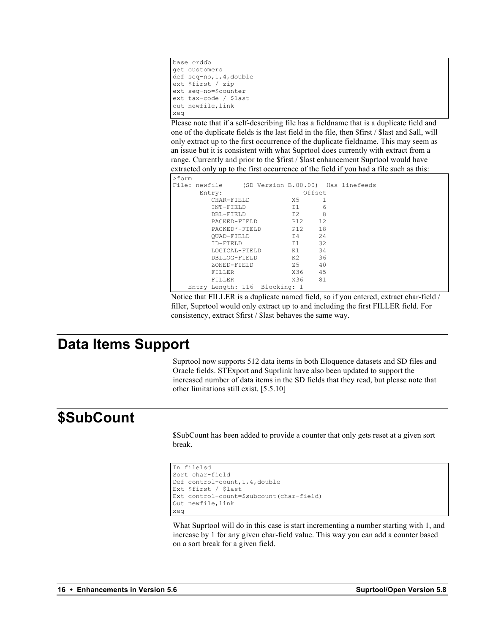```
base orddb
get customers
def seq-no,1,4,double
ext $first / zip
ext seq-no=$counter
ext tax-code / $last
out newfile,link
xeq
```
Please note that if a self-describing file has a fieldname that is a duplicate field and one of the duplicate fields is the last field in the file, then \$first / \$last and \$all, will only extract up to the first occurrence of the duplicate fieldname. This may seem as an issue but it is consistent with what Suprtool does currently with extract from a range. Currently and prior to the \$first / \$last enhancement Suprtool would have extracted only up to the first occurrence of the field if you had a file such as this:

|         |        |                                                                               | X5                                                                 | 1                                           |                                                     |                                                                                                                                       |
|---------|--------|-------------------------------------------------------------------------------|--------------------------------------------------------------------|---------------------------------------------|-----------------------------------------------------|---------------------------------------------------------------------------------------------------------------------------------------|
|         |        |                                                                               | 11                                                                 |                                             |                                                     |                                                                                                                                       |
|         |        |                                                                               | T2                                                                 |                                             |                                                     |                                                                                                                                       |
|         |        |                                                                               |                                                                    |                                             |                                                     |                                                                                                                                       |
|         |        |                                                                               |                                                                    |                                             |                                                     |                                                                                                                                       |
|         |        |                                                                               |                                                                    |                                             |                                                     |                                                                                                                                       |
|         |        |                                                                               |                                                                    |                                             |                                                     |                                                                                                                                       |
|         |        |                                                                               |                                                                    |                                             |                                                     |                                                                                                                                       |
|         |        |                                                                               |                                                                    |                                             |                                                     |                                                                                                                                       |
|         |        |                                                                               |                                                                    |                                             |                                                     |                                                                                                                                       |
| FTLLER. |        |                                                                               |                                                                    |                                             |                                                     |                                                                                                                                       |
| FTLLER. |        |                                                                               |                                                                    |                                             |                                                     |                                                                                                                                       |
|         |        |                                                                               |                                                                    |                                             |                                                     |                                                                                                                                       |
|         | Entry: | CHAR-FIELD<br>INT-FIELD<br>DBL-FIELD<br>OUAD-FIELD<br>TD-FIELD<br>ZONED-FIELD | PACKED-FIELD<br>$PACKRD* - FTRLD$<br>LOGICAL-FIELD<br>DBLLOG-FIELD | <b>z</b> 5<br>Entry Length: 116 Blocking: 1 | T4<br>$-11$<br>K1<br>K2. <b>K2.</b><br>X36 -<br>X36 | File: newfile (SD Version B.00.00) Has linefeeds<br>Offset<br>6<br>8<br>P12 12<br>P12 18<br>-2.4<br>32<br>34<br>36<br>40<br>-45<br>81 |

Notice that FILLER is a duplicate named field, so if you entered, extract char-field / filler, Suprtool would only extract up to and including the first FILLER field. For consistency, extract \$first / \$last behaves the same way.

#### **Data Items Support**

Suprtool now supports 512 data items in both Eloquence datasets and SD files and Oracle fields. STExport and Suprlink have also been updated to support the increased number of data items in the SD fields that they read, but please note that other limitations still exist. [5.5.10]

# **\$SubCount**

\$SubCount has been added to provide a counter that only gets reset at a given sort break.

```
In file1sd
Sort char-field
Def control-count,1,4,double
Ext $first / $last
Ext control-count=$subcount(char-field)
Out newfile,link
xeq
```
What Suprtool will do in this case is start incrementing a number starting with 1, and increase by 1 for any given char-field value. This way you can add a counter based on a sort break for a given field.